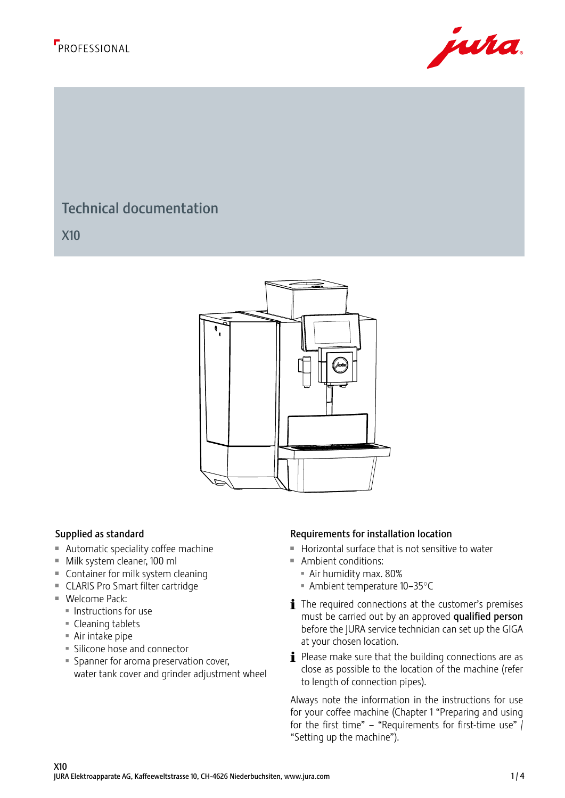



#### <sup>198</sup> <sup>243</sup> Technical documentation

461 X10



- $\blacksquare$  Automatic speciality coffee machine
- $\blacksquare$  Milk system cleaner, 100 ml  $\blacksquare$  Ambient comparison
	- $\blacksquare$  Container for milk system cleaning
	- CLARIS Pro Smart filter cartridge
	- $\blacksquare$  Welcome Pack:
		- **Instructions for use**
		- $\blacksquare$  Cleaning tablets
		- $\blacksquare$  Air intake pipe
		- **Silicone hose and connector**
		- **Spanner for aroma preservation cover,** water tank cover and grinder adjustment wheel

#### Supplied as standard **Requirements** for installation location for installation location

- **E** Horizontal surface that is not sensitive to water Revision / Version Sheet Jura Elektroapparate AG
- $\blacksquare$  Ambient conditions:
	- **Air humidity max. 80%**
	- $\blacksquare$  Ambient temperature 10–35°C
	- $\mathbf i$  The required connections at the customer's premises must be carried out by an approved qualified person before the JURA service technician can set up the GIGA at your chosen location.
	- $\mathbf{i}$  Please make sure that the building connections are as close as possible to the location of the machine (refer to length of connection pipes).

Always note the information in the instructions for use for your coffee machine (Chapter 1 "Preparing and using for the first time" – "Requirements for first-time use"  $\int$ "Setting up the machine").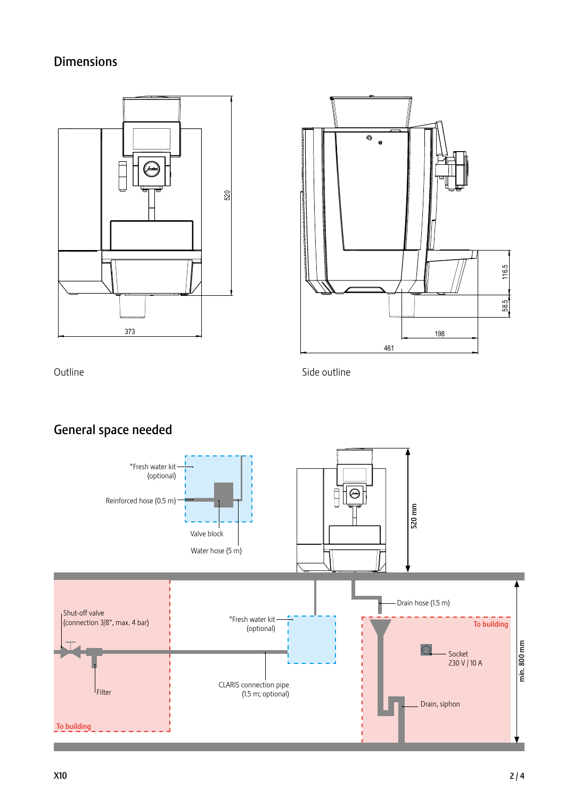# Dimensions





Outline

Side outline

# General space needed

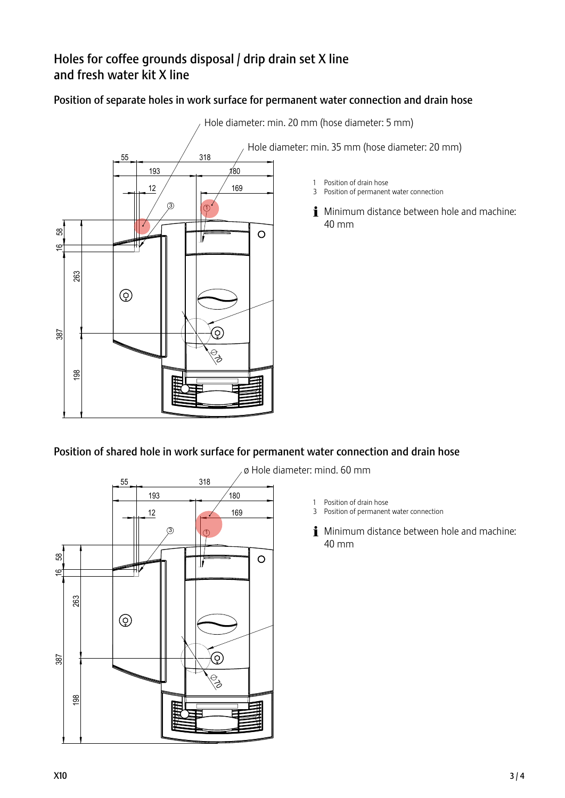# Holes for coffee grounds disposal / drip drain set X line and fresh water kit X line

### Position of separate holes in work surface for permanent water connection and drain hose



 $\sim_{\mathcal{A}}$  Hole diameter: min. 20 mm (hose diameter: 5 mm)

- 1 Position of drain hose
- 3 Position of permanent water connection
- i Minimum distance between hole and machine: 40 mm

## Position of shared hole in work surface for permanent water connection and drain hose



ø Hole diameter: mind. 60 mm

- 1 Position of drain hose
- 
- **i** Minimum distance between hole and machine: 40 mm